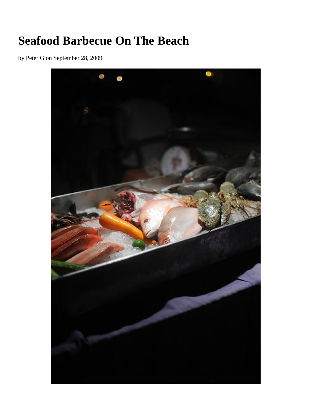## **Seafood Barbecue On The Beach**

by Peter G on September 28, 2009

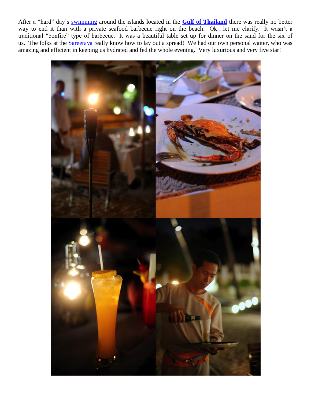After a "hard" day's [swimming](http://souvlakiforthesoul.com/swimming-in-samui) around the islands located in the **[Gulf of Thailand](http://en.wikipedia.org/wiki/Gulf_of_Thailand)** there was really no better way to end it than with a private seafood barbecue right on the beach! Ok…let me clarify. It wasn't a traditional "bonfire" type of barbecue. It was a beautiful table set up for dinner on the sand for the six of us. The folks at the **Sareeraya** really know how to lay out a spread! We had our own personal waiter, who was amazing and efficient in keeping us hydrated and fed the whole evening. Very luxurious and very five star!

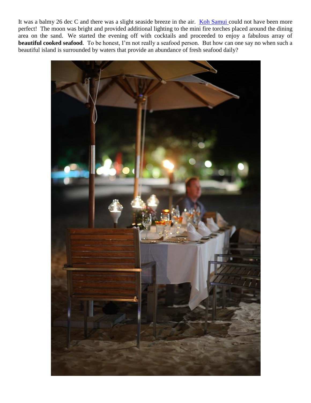It was a balmy 26 dec C and there was a slight seaside breeze in the air. [Koh Samui c](http://souvlakiforthesoul.com/koh-samui)ould not have been more perfect! The moon was bright and provided additional lighting to the mini fire torches placed around the dining area on the sand. We started the evening off with cocktails and proceeded to enjoy a fabulous array of **beautiful cooked seafood**. To be honest, I'm not really a seafood person. But how can one say no when such a beautiful island is surrounded by waters that provide an abundance of fresh seafood daily?

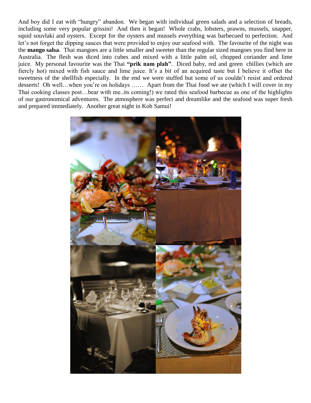And boy did I eat with "hungry" abandon. We began with individual green salads and a selection of breads, including some very popular grissini! And then it began! Whole crabs, lobsters, prawns, mussels, snapper, squid souvlaki and oysters. Except for the oysters and mussels everything was barbecued to perfection. And let's not forget the dipping sauces that were provided to enjoy our seafood with. The favourite of the night was the **mango salsa**. Thai mangoes are a little smaller and sweeter than the regular sized mangoes you find here in Australia. The flesh was diced into cubes and mixed with a little palm oil, chopped coriander and lime juice. My personal favourite was the Thai **"prik nam plah"**. Diced baby, red and green chillies (which are fiercly hot) mixed with fish sauce and lime juice. It's a bit of an acquired taste but I believe it offset the sweetness of the shellfish especially. In the end we were stuffed but some of us couldn't resist and ordered desserts! Oh well…when you're on holidays …… Apart from the Thai food we ate (which I will cover in my Thai cooking classes post…bear with me..its coming!) we rated this seafood barbecue as one of the highlights of our gastronomical adventures. The atmosphere was perfect and dreamlike and the seafood was super fresh and prepared immediately. Another great night in Koh Samui!